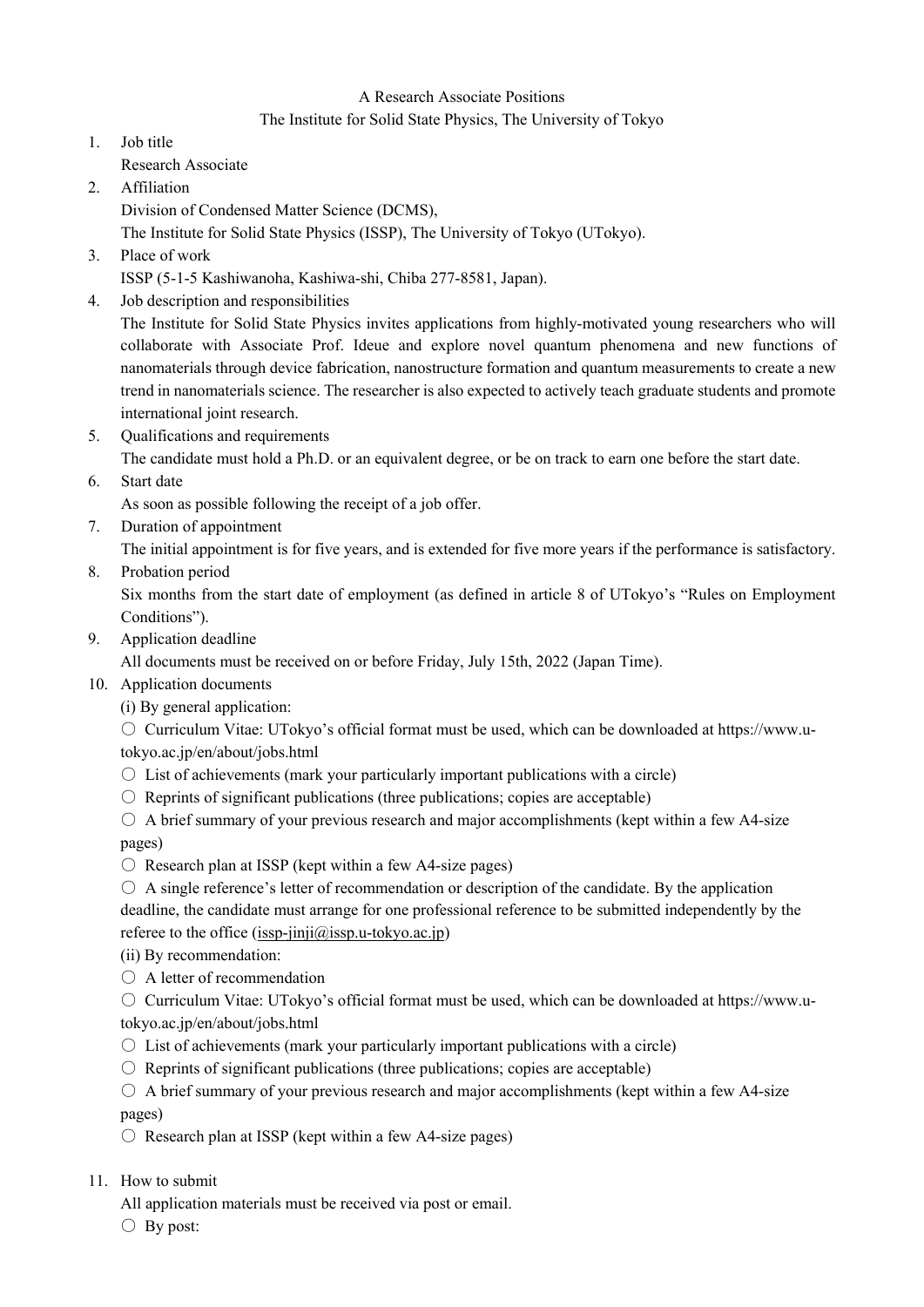## A Research Associate Positions

## The Institute for Solid State Physics, The University of Tokyo

- 1. Job title
	- Research Associate
- 2. Affiliation Division of Condensed Matter Science (DCMS), The Institute for Solid State Physics (ISSP), The University of Tokyo (UTokyo).
- 3. Place of work
	- ISSP (5-1-5 Kashiwanoha, Kashiwa-shi, Chiba 277-8581, Japan).
- 4. Job description and responsibilities

The Institute for Solid State Physics invites applications from highly-motivated young researchers who will collaborate with Associate Prof. Ideue and explore novel quantum phenomena and new functions of nanomaterials through device fabrication, nanostructure formation and quantum measurements to create a new trend in nanomaterials science. The researcher is also expected to actively teach graduate students and promote international joint research.

5. Qualifications and requirements

The candidate must hold a Ph.D. or an equivalent degree, or be on track to earn one before the start date.

6. Start date

As soon as possible following the receipt of a job offer.

7. Duration of appointment

The initial appointment is for five years, and is extended for five more years if the performance is satisfactory.

8. Probation period

Six months from the start date of employment (as defined in article 8 of UTokyo's "Rules on Employment Conditions").

9. Application deadline

All documents must be received on or before Friday, July 15th, 2022 (Japan Time).

- 10. Application documents
	- (i) By general application:

○ Curriculum Vitae: UTokyo's official format must be used, which can be downloaded at https://www.utokyo.ac.jp/en/about/jobs.html

- $\circ$  List of achievements (mark your particularly important publications with a circle)
- $\circ$  Reprints of significant publications (three publications; copies are acceptable)
- $\circ$  A brief summary of your previous research and major accomplishments (kept within a few A4-size pages)
- $\circ$  Research plan at ISSP (kept within a few A4-size pages)
- $\circ$  A single reference's letter of recommendation or description of the candidate. By the application deadline, the candidate must arrange for one professional reference to be submitted independently by the referee to the office  $(issp-jinji@issp.u-tokyo.ac.jp)$
- (ii) By recommendation:
- $\bigcirc$  A letter of recommendation

○ Curriculum Vitae: UTokyo's official format must be used, which can be downloaded at https://www.utokyo.ac.jp/en/about/jobs.html

- $\bigcirc$  List of achievements (mark your particularly important publications with a circle)
- $\circ$  Reprints of significant publications (three publications; copies are acceptable)
- $\circ$  A brief summary of your previous research and major accomplishments (kept within a few A4-size pages)
- $\circ$  Research plan at ISSP (kept within a few A4-size pages)

# 11. How to submit

All application materials must be received via post or email.

○ By post: